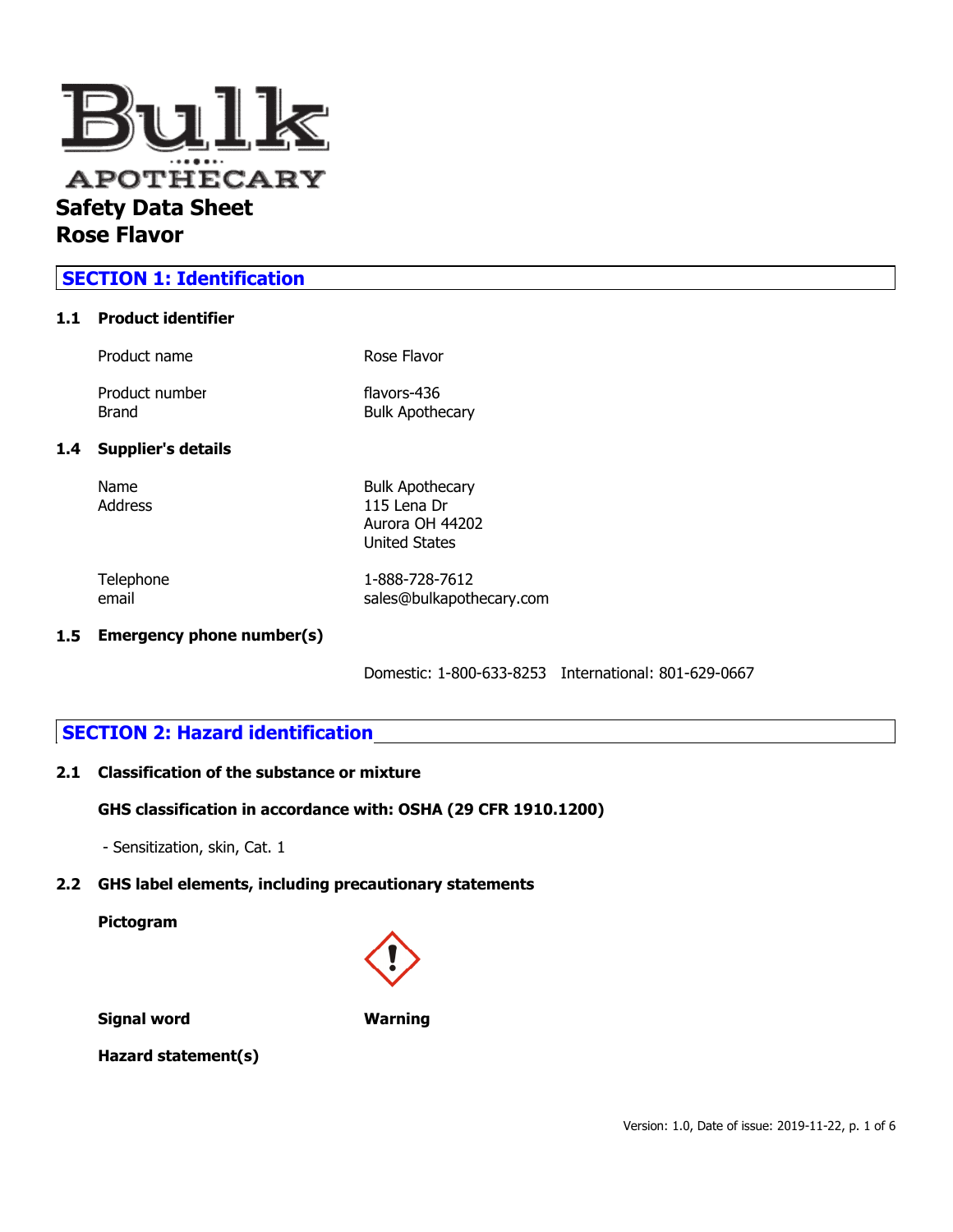

# **SECTION 1: Identification**

### **1.1 Product identifier**

|     | Product name            | Rose Flavor                           |
|-----|-------------------------|---------------------------------------|
|     | Product number<br>Brand | flavors-436<br><b>Bulk Apothecary</b> |
| 1.4 |                         |                                       |
|     | Name<br>Address         | <b>Bulk Apothecary</b><br>115 Lena Dr |

Telephone 1-888-728-7612 email sales@bulkapothecary.com

Aurora OH 44202 United States

### **1.5 Emergency phone number(s)**

Domestic: 1-800-633-8253 International: 801-629-0667

## **SECTION 2: Hazard identification**

#### **2.1 Classification of the substance or mixture**

#### **GHS classification in accordance with: OSHA (29 CFR 1910.1200)**

- Sensitization, skin, Cat. 1

## **2.2 GHS label elements, including precautionary statements**

**Pictogram**



**Signal word Warning**

**Hazard statement(s)**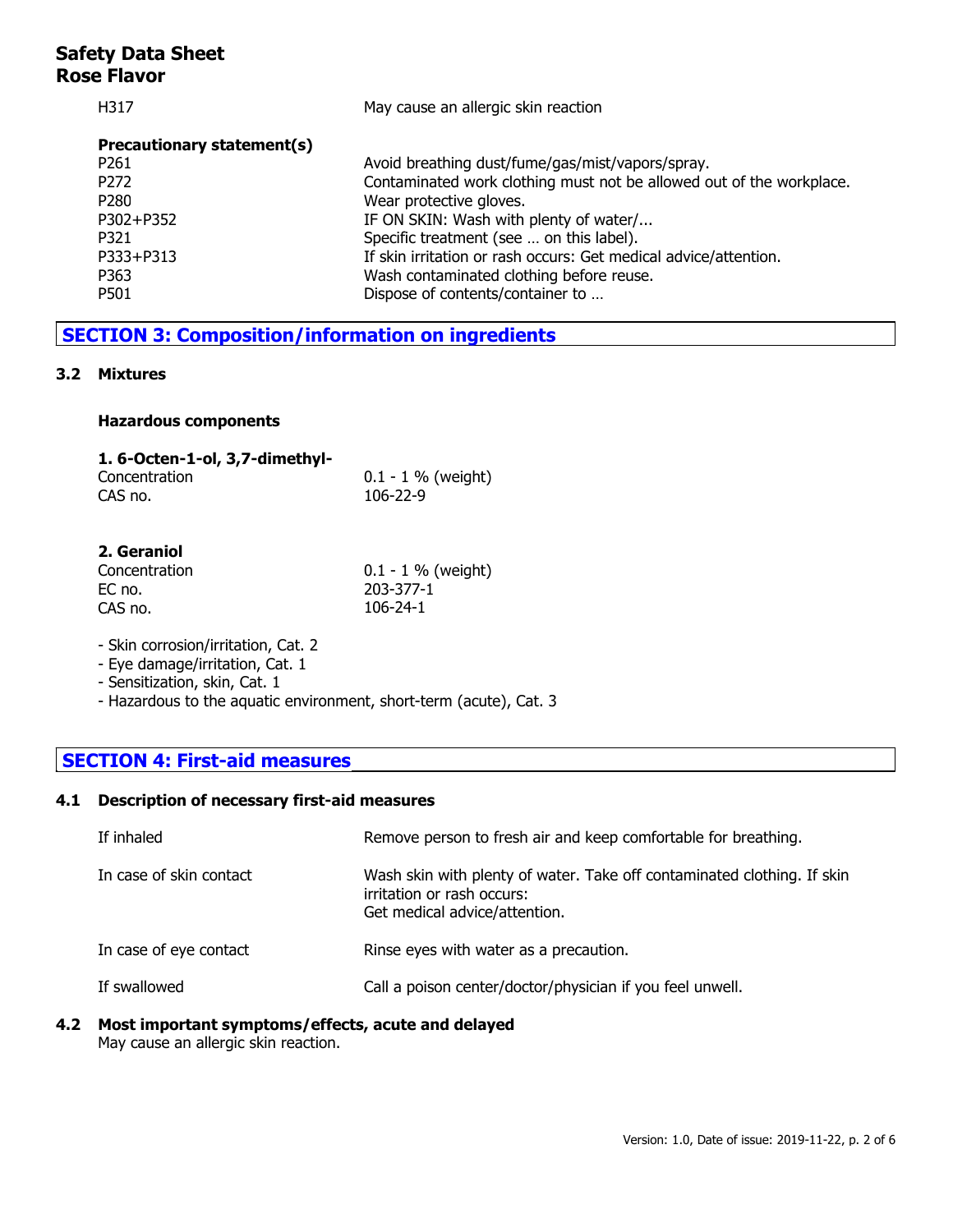| May cause an allergic skin reaction                                  |
|----------------------------------------------------------------------|
|                                                                      |
| Avoid breathing dust/fume/gas/mist/vapors/spray.                     |
| Contaminated work clothing must not be allowed out of the workplace. |
| Wear protective gloves.                                              |
| IF ON SKIN: Wash with plenty of water/                               |
| Specific treatment (see  on this label).                             |
| If skin irritation or rash occurs: Get medical advice/attention.     |
| Wash contaminated clothing before reuse.                             |
| Dispose of contents/container to                                     |
|                                                                      |

# **SECTION 3: Composition/information on ingredients**

#### **3.2 Mixtures**

#### **Hazardous components**

| 1. 6-Octen-1-ol, 3,7-dimethyl- |                       |
|--------------------------------|-----------------------|
| Concentration                  | $0.1 - 1 \%$ (weight) |
| CAS no.                        | 106-22-9              |

### **2. Geraniol**

| Concentration | $0.1 - 1 \%$ (weight) |
|---------------|-----------------------|
| EC no.        | 203-377-1             |
| CAS no.       | 106-24-1              |

- Skin corrosion/irritation, Cat. 2

- Eye damage/irritation, Cat. 1
- Sensitization, skin, Cat. 1
- Hazardous to the aquatic environment, short-term (acute), Cat. 3

# **SECTION 4: First-aid measures**

### **4.1 Description of necessary first-aid measures**

| If inhaled              | Remove person to fresh air and keep comfortable for breathing.                                                                         |
|-------------------------|----------------------------------------------------------------------------------------------------------------------------------------|
| In case of skin contact | Wash skin with plenty of water. Take off contaminated clothing. If skin<br>irritation or rash occurs:<br>Get medical advice/attention. |
| In case of eye contact  | Rinse eyes with water as a precaution.                                                                                                 |
| If swallowed            | Call a poison center/doctor/physician if you feel unwell.                                                                              |

## **4.2 Most important symptoms/effects, acute and delayed**

May cause an allergic skin reaction.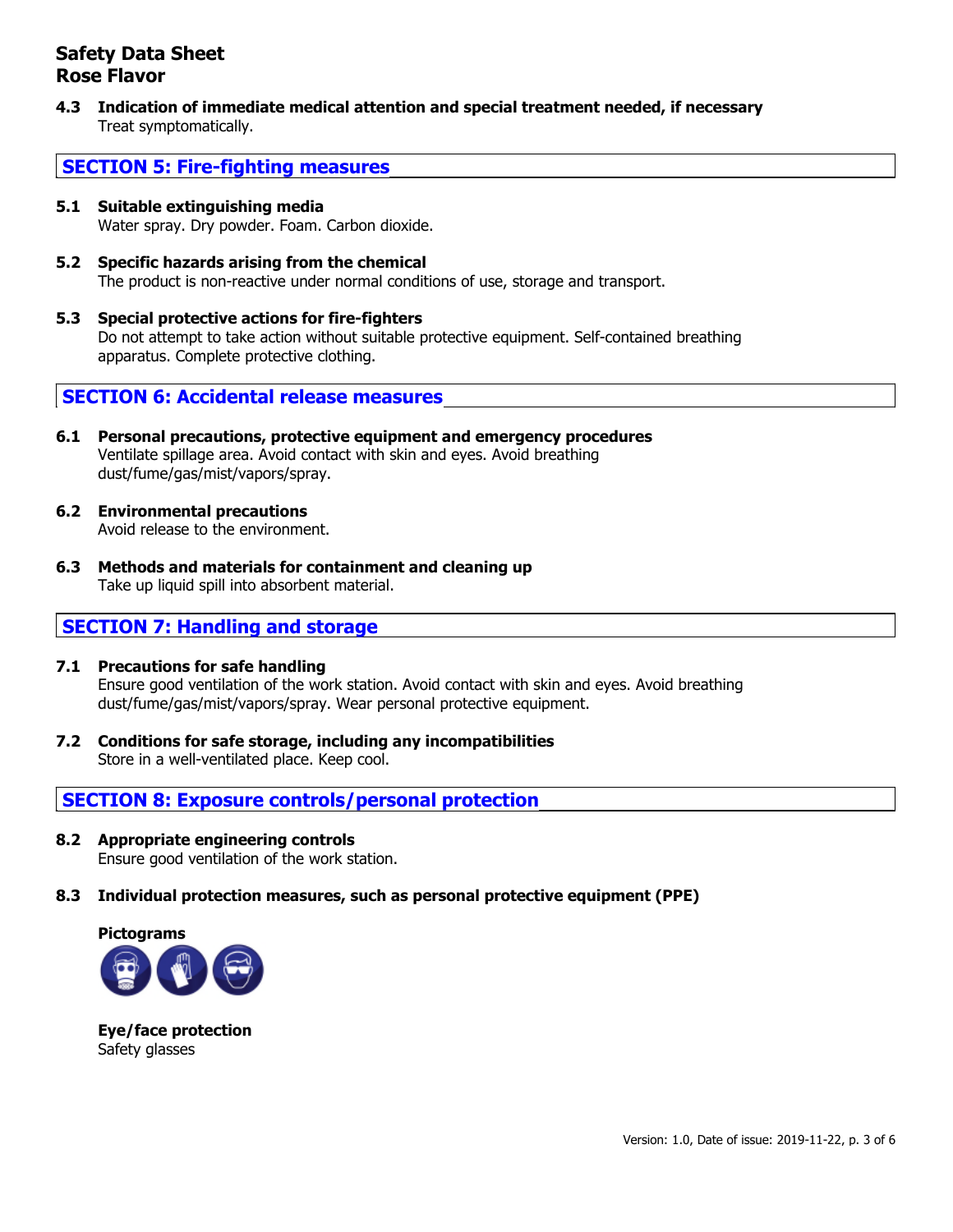**4.3 Indication of immediate medical attention and special treatment needed, if necessary** Treat symptomatically.

# **SECTION 5: Fire-fighting measures**

- **5.1 Suitable extinguishing media** Water spray. Dry powder. Foam. Carbon dioxide.
- **5.2 Specific hazards arising from the chemical** The product is non-reactive under normal conditions of use, storage and transport.
- **5.3 Special protective actions for fire-fighters** Do not attempt to take action without suitable protective equipment. Self-contained breathing apparatus. Complete protective clothing.

**SECTION 6: Accidental release measures**

- **6.1 Personal precautions, protective equipment and emergency procedures** Ventilate spillage area. Avoid contact with skin and eyes. Avoid breathing dust/fume/gas/mist/vapors/spray.
- **6.2 Environmental precautions** Avoid release to the environment.
- **6.3 Methods and materials for containment and cleaning up** Take up liquid spill into absorbent material.

# **SECTION 7: Handling and storage**

- **7.1 Precautions for safe handling** Ensure good ventilation of the work station. Avoid contact with skin and eyes. Avoid breathing dust/fume/gas/mist/vapors/spray. Wear personal protective equipment.
- **7.2 Conditions for safe storage, including any incompatibilities** Store in a well-ventilated place. Keep cool.

**SECTION 8: Exposure controls/personal protection**

- **8.2 Appropriate engineering controls** Ensure good ventilation of the work station.
- **8.3 Individual protection measures, such as personal protective equipment (PPE)**



**Eye/face protection** Safety glasses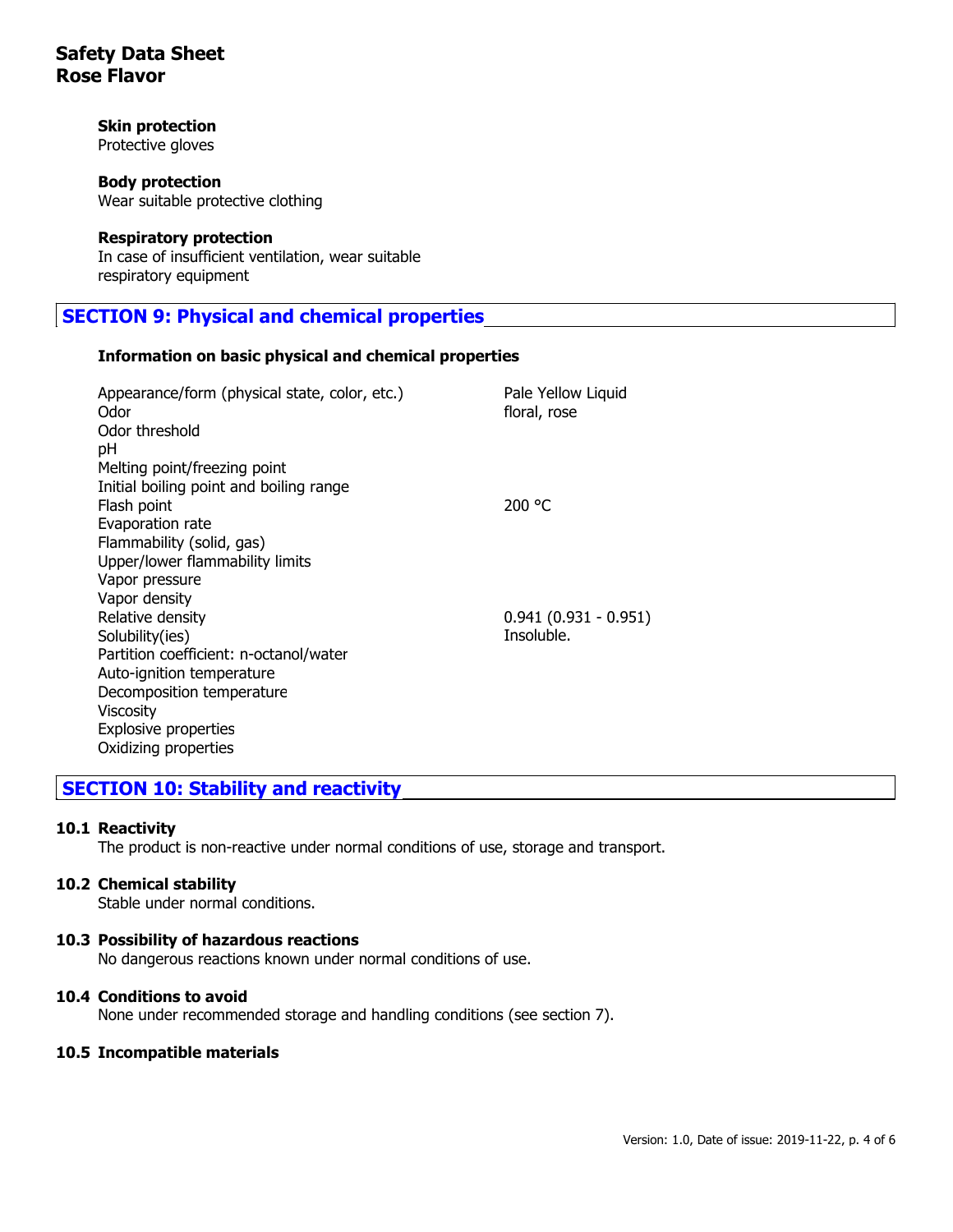### **Skin protection**

Protective gloves

#### **Body protection**

Wear suitable protective clothing

#### **Respiratory protection**

In case of insufficient ventilation, wear suitable respiratory equipment

# **SECTION 9: Physical and chemical properties**

#### **Information on basic physical and chemical properties**

| Appearance/form (physical state, color, etc.)<br>Odor<br>Odor threshold | Pale Yellow Liquid<br>floral, rose |
|-------------------------------------------------------------------------|------------------------------------|
| рH                                                                      |                                    |
| Melting point/freezing point                                            |                                    |
| Initial boiling point and boiling range                                 |                                    |
| Flash point                                                             | 200 °C                             |
| Evaporation rate                                                        |                                    |
| Flammability (solid, gas)                                               |                                    |
| Upper/lower flammability limits                                         |                                    |
| Vapor pressure                                                          |                                    |
| Vapor density                                                           |                                    |
| Relative density                                                        | $0.941(0.931 - 0.951)$             |
| Solubility(ies)                                                         | Insoluble.                         |
| Partition coefficient: n-octanol/water                                  |                                    |
| Auto-ignition temperature                                               |                                    |
| Decomposition temperature                                               |                                    |
| <b>Viscosity</b>                                                        |                                    |
| Explosive properties                                                    |                                    |
| Oxidizing properties                                                    |                                    |
|                                                                         |                                    |

# **SECTION 10: Stability and reactivity**

#### **10.1 Reactivity**

The product is non-reactive under normal conditions of use, storage and transport.

#### **10.2 Chemical stability**

Stable under normal conditions.

#### **10.3 Possibility of hazardous reactions**

No dangerous reactions known under normal conditions of use.

#### **10.4 Conditions to avoid**

None under recommended storage and handling conditions (see section 7).

#### **10.5 Incompatible materials**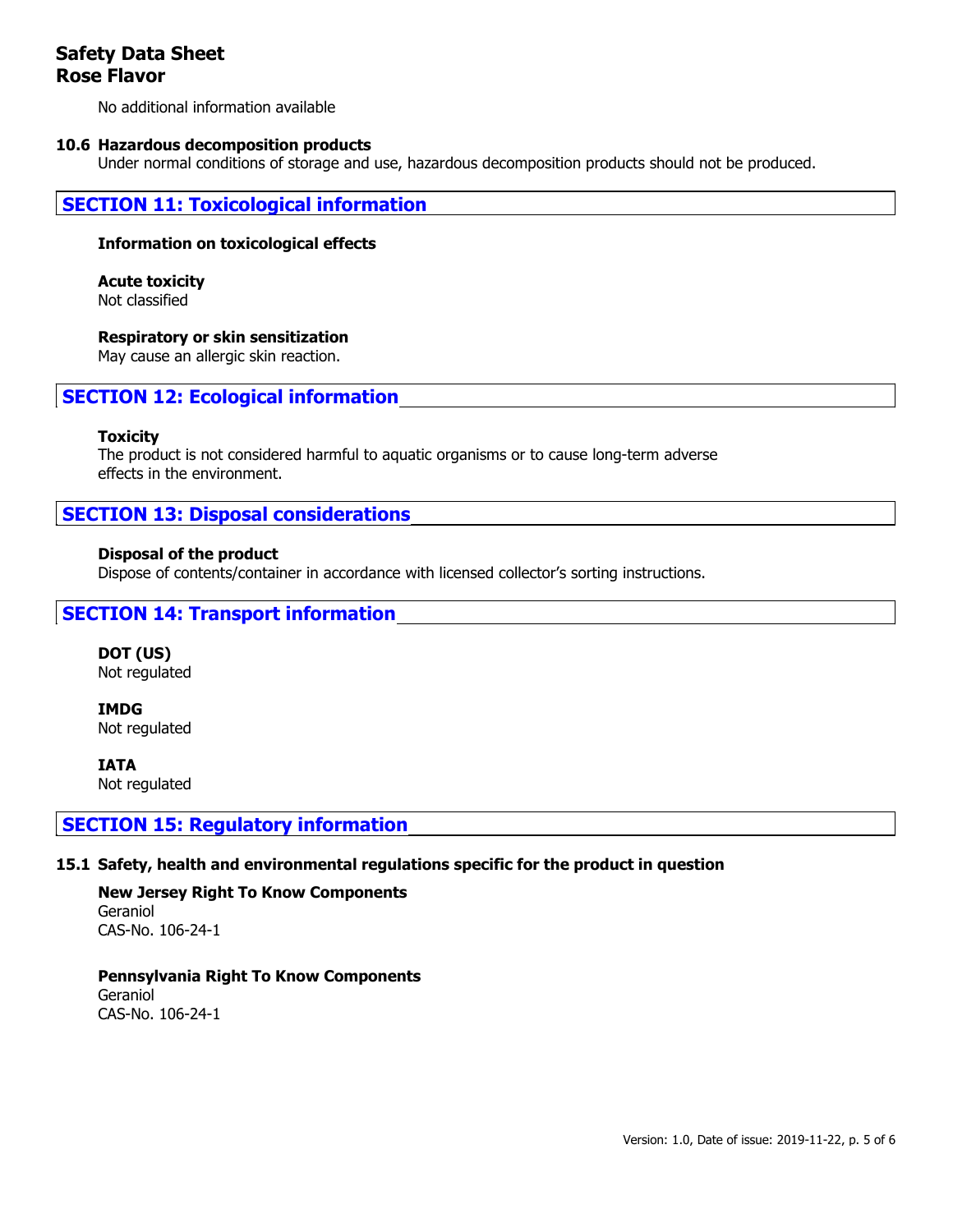No additional information available

#### **10.6 Hazardous decomposition products**

Under normal conditions of storage and use, hazardous decomposition products should not be produced.

### **SECTION 11: Toxicological information**

#### **Information on toxicological effects**

# **Acute toxicity**

Not classified

#### **Respiratory or skin sensitization**

May cause an allergic skin reaction.

# **SECTION 12: Ecological information**

#### **Toxicity**

The product is not considered harmful to aquatic organisms or to cause long-term adverse effects in the environment.

### **SECTION 13: Disposal considerations**

#### **Disposal of the product**

Dispose of contents/container in accordance with licensed collector's sorting instructions.

### **SECTION 14: Transport information**

**DOT (US)** Not regulated

**IMDG** Not regulated

**IATA** Not regulated

### **SECTION 15: Regulatory information**

### **15.1 Safety, health and environmental regulations specific for the product in question**

**New Jersey Right To Know Components** Geraniol CAS-No. 106-24-1

**Pennsylvania Right To Know Components** Geraniol CAS-No. 106-24-1